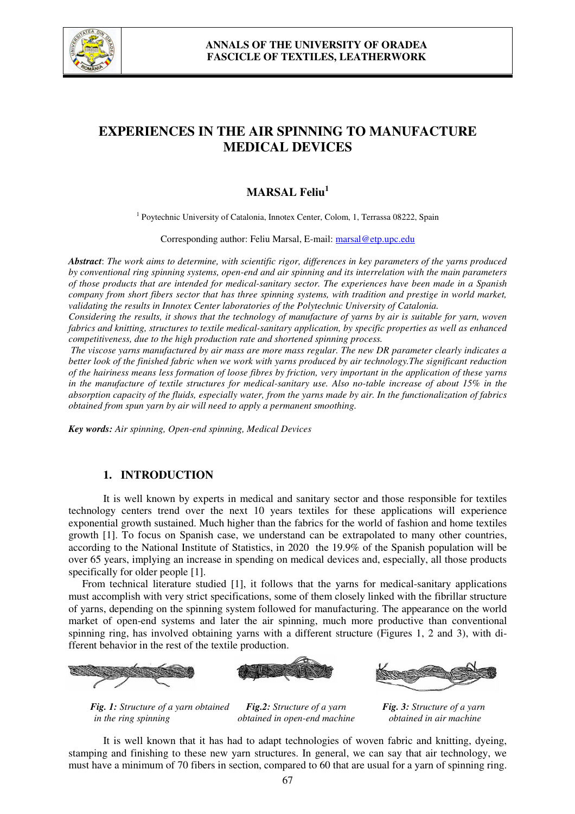

# **EXPERIENCES IN THE AIR SPINNING TO MANUFACTURE MEDICAL DEVICES**

# **MARSAL Feliu<sup>1</sup>**

<sup>1</sup> Poytechnic University of Catalonia, Innotex Center, Colom, 1, Terrassa 08222, Spain

Corresponding author: Feliu Marsal, E-mail: marsal@etp.upc.edu

*Abstract*: *The work aims to determine, with scientific rigor, differences in key parameters of the yarns produced by conventional ring spinning systems, open-end and air spinning and its interrelation with the main parameters of those products that are intended for medical-sanitary sector. The experiences have been made in a Spanish company from short fibers sector that has three spinning systems, with tradition and prestige in world market, validating the results in Innotex Center laboratories of the Polytechnic University of Catalonia.*

*Considering the results, it shows that the technology of manufacture of yarns by air is suitable for yarn, woven fabrics and knitting, structures to textile medical-sanitary application, by specific properties as well as enhanced competitiveness, due to the high production rate and shortened spinning process.* 

 *The viscose yarns manufactured by air mass are more mass regular. The new DR parameter clearly indicates a better look of the finished fabric when we work with yarns produced by air technology.The significant reduction of the hairiness means less formation of loose fibres by friction, very important in the application of these yarns in the manufacture of textile structures for medical-sanitary use. Also no-table increase of about 15% in the absorption capacity of the fluids, especially water, from the yarns made by air. In the functionalization of fabrics obtained from spun yarn by air will need to apply a permanent smoothing.* 

*Key words: Air spinning, Open-end spinning, Medical Devices*

# **1. INTRODUCTION**

It is well known by experts in medical and sanitary sector and those responsible for textiles technology centers trend over the next 10 years textiles for these applications will experience exponential growth sustained. Much higher than the fabrics for the world of fashion and home textiles growth [1]. To focus on Spanish case, we understand can be extrapolated to many other countries, according to the National Institute of Statistics, in 2020 the 19.9% of the Spanish population will be over 65 years, implying an increase in spending on medical devices and, especially, all those products specifically for older people [1].

From technical literature studied [1], it follows that the yarns for medical-sanitary applications must accomplish with very strict specifications, some of them closely linked with the fibrillar structure of yarns, depending on the spinning system followed for manufacturing. The appearance on the world market of open-end systems and later the air spinning, much more productive than conventional spinning ring, has involved obtaining yarns with a different structure (Figures 1, 2 and 3), with different behavior in the rest of the textile production.





*Fig. 1: Structure of a yarn obtained Fig.2: Structure of a yarn Fig. 3: Structure of a yarn in the ring spinning obtained in open-end machine obtained in air machine*

It is well known that it has had to adapt technologies of woven fabric and knitting, dyeing, stamping and finishing to these new yarn structures. In general, we can say that air technology, we must have a minimum of 70 fibers in section, compared to 60 that are usual for a yarn of spinning ring.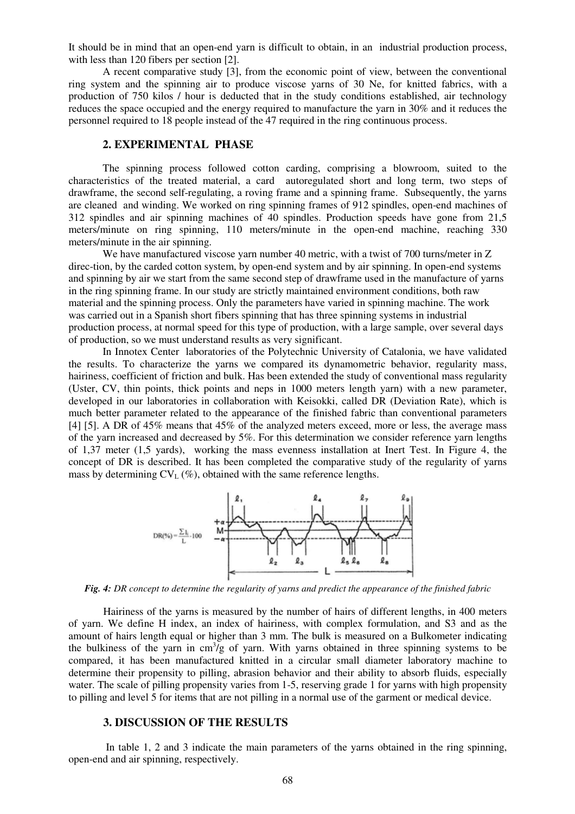It should be in mind that an open-end yarn is difficult to obtain, in an industrial production process, with less than 120 fibers per section [2].

A recent comparative study [3], from the economic point of view, between the conventional ring system and the spinning air to produce viscose yarns of 30 Ne, for knitted fabrics, with a production of 750 kilos / hour is deducted that in the study conditions established, air technology reduces the space occupied and the energy required to manufacture the yarn in 30% and it reduces the personnel required to 18 people instead of the 47 required in the ring continuous process.

## **2. EXPERIMENTAL PHASE**

The spinning process followed cotton carding, comprising a blowroom, suited to the characteristics of the treated material, a card autoregulated short and long term, two steps of drawframe, the second self-regulating, a roving frame and a spinning frame. Subsequently, the yarns are cleaned and winding. We worked on ring spinning frames of 912 spindles, open-end machines of 312 spindles and air spinning machines of 40 spindles. Production speeds have gone from 21,5 meters/minute on ring spinning, 110 meters/minute in the open-end machine, reaching 330 meters/minute in the air spinning.

We have manufactured viscose yarn number 40 metric, with a twist of 700 turns/meter in Z direc-tion, by the carded cotton system, by open-end system and by air spinning. In open-end systems and spinning by air we start from the same second step of drawframe used in the manufacture of yarns in the ring spinning frame. In our study are strictly maintained environment conditions, both raw material and the spinning process. Only the parameters have varied in spinning machine. The work was carried out in a Spanish short fibers spinning that has three spinning systems in industrial production process, at normal speed for this type of production, with a large sample, over several days of production, so we must understand results as very significant.

In Innotex Center laboratories of the Polytechnic University of Catalonia, we have validated the results. To characterize the yarns we compared its dynamometric behavior, regularity mass, hairiness, coefficient of friction and bulk. Has been extended the study of conventional mass regularity (Uster, CV, thin points, thick points and neps in 1000 meters length yarn) with a new parameter, developed in our laboratories in collaboration with Keisokki, called DR (Deviation Rate), which is much better parameter related to the appearance of the finished fabric than conventional parameters [4] [5]. A DR of 45% means that 45% of the analyzed meters exceed, more or less, the average mass of the yarn increased and decreased by 5%. For this determination we consider reference yarn lengths of 1,37 meter (1,5 yards), working the mass evenness installation at Inert Test. In Figure 4, the concept of DR is described. It has been completed the comparative study of the regularity of yarns mass by determining  $CV_L$  (%), obtained with the same reference lengths.



*Fig. 4: DR concept to determine the regularity of yarns and predict the appearance of the finished fabric*

Hairiness of the yarns is measured by the number of hairs of different lengths, in 400 meters of yarn. We define H index, an index of hairiness, with complex formulation, and S3 and as the amount of hairs length equal or higher than 3 mm. The bulk is measured on a Bulkometer indicating the bulkiness of the yarn in  $cm^3/g$  of yarn. With yarns obtained in three spinning systems to be compared, it has been manufactured knitted in a circular small diameter laboratory machine to determine their propensity to pilling, abrasion behavior and their ability to absorb fluids, especially water. The scale of pilling propensity varies from 1-5, reserving grade 1 for yarns with high propensity to pilling and level 5 for items that are not pilling in a normal use of the garment or medical device.

#### **3. DISCUSSION OF THE RESULTS**

 In table 1, 2 and 3 indicate the main parameters of the yarns obtained in the ring spinning, open-end and air spinning, respectively.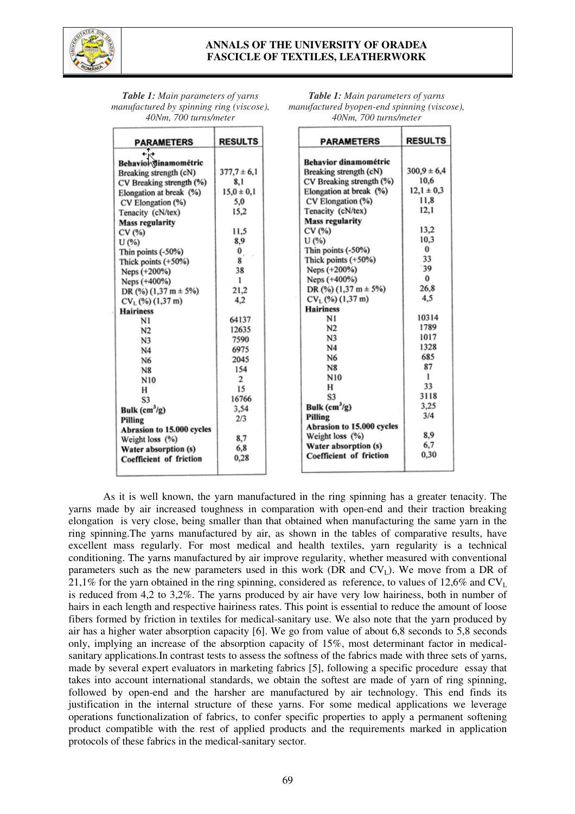

# **ANNALS OF THE UNIVERSITY OF ORADEA FASCICLE OF TEXTILES, LEATHERWORK**

*Table 1: Main parameters of yarns manufactured byopen-end spinning (viscose), 40Nm, 700 turns/meter*

| <b>Table 1:</b> Main parameters of yarns |
|------------------------------------------|
| manufactured by spinning ring (viscose), |
| 40Nm, 700 turns/meter                    |

|                                   | <b>RESULTS</b>   | <b>PARAMETERS</b>            | <b>RESULTS</b>  |
|-----------------------------------|------------------|------------------------------|-----------------|
| <b>PARAMETERS</b>                 |                  |                              |                 |
|                                   |                  | <b>Behavior dinamométric</b> |                 |
| Behavior dinamométric             |                  |                              | $300.9 \pm 6.4$ |
| Breaking strength (cN)            | $377.7 \pm 6.1$  | Breaking strength (cN)       | 10,6            |
| CV Breaking strength (%)          | 8,1              | CV Breaking strength (%)     |                 |
| Elongation at break (%)           | $15.0 \pm 0.1$   | Elongation at break (%)      | $12,1 \pm 0,3$  |
| CV Elongation (%)                 | 5,0              | CV Elongation (%)            | 11.8            |
| Tenacity (cN/tex)                 | 15.2             | Tenacity (cN/tex)            | 12.1            |
| <b>Mass regularity</b>            |                  | <b>Mass regularity</b>       |                 |
| CV (%)                            | 11,5             | CV (%)                       | 13,2            |
| U(%)                              | 8,9              | U(%)                         | 10,3            |
| Thin points (-50%)                | $\mathbf{0}_{.}$ | Thin points (-50%)           | 0               |
| Thick points (+50%)               | 8                | Thick points $(+50%)$        | 33              |
| Neps (+200%)                      | 38               | Neps (+200%)                 | 39              |
| Neps (+400%)                      | ı                | Neps (+400%)                 | $\bf{0}$        |
| DR (%) $(1,37 \text{ m} \pm 5\%)$ | 21,2             | DR $(\%)$ (1,37 m $\pm$ 5%)  | 26,8            |
| $CV_L$ (%) (1,37 m)               | 4,2              | $CV_L$ (%) (1,37 m)          | 4,5             |
| <b>Hairiness</b>                  |                  | <b>Hairiness</b>             |                 |
| N1                                | 64137            | N1                           | 10314           |
| N <sub>2</sub>                    | 12635            | N <sub>2</sub>               | 1789            |
| N <sub>3</sub>                    | 7590             | N <sub>3</sub>               | 1017            |
| N4                                | 6975             | N <sub>4</sub>               | 1328            |
| N6                                | 2045             | N6                           | 685             |
| <b>N8</b>                         | 154              | N8                           | 87              |
| N10                               | $\overline{c}$   | N10                          | 1               |
| н                                 | 15               | н                            | 33              |
| S3                                | 16766            | S3                           | 3118            |
| Bulk $(cm^3/g)$                   | 3,54             | Bulk $(cm^3/g)$              | 3,25            |
| Pilling                           | 2/3              | Pilling                      | 3/4             |
| Abrasion to 15.000 cycles         |                  | Abrasion to 15.000 cycles    |                 |
| Weight loss (%)                   | 8.7              | Weight loss (%)              | 8.9             |
| Water absorption (s)              | 6,8              | Water absorption (s)         | 6,7             |
| Coefficient of friction           | 0,28             | Coefficient of friction      | 0.30            |
|                                   |                  |                              |                 |

As it is well known, the yarn manufactured in the ring spinning has a greater tenacity. The yarns made by air increased toughness in comparation with open-end and their traction breaking elongation is very close, being smaller than that obtained when manufacturing the same yarn in the ring spinning.The yarns manufactured by air, as shown in the tables of comparative results, have excellent mass regularly. For most medical and health textiles, yarn regularity is a technical conditioning. The yarns manufactured by air improve regularity, whether measured with conventional parameters such as the new parameters used in this work (DR and  $CV<sub>L</sub>$ ). We move from a DR of 21,1% for the yarn obtained in the ring spinning, considered as reference, to values of 12,6% and  $CV_L$ is reduced from 4,2 to 3,2%. The yarns produced by air have very low hairiness, both in number of hairs in each length and respective hairiness rates. This point is essential to reduce the amount of loose fibers formed by friction in textiles for medical-sanitary use. We also note that the yarn produced by air has a higher water absorption capacity [6]. We go from value of about 6,8 seconds to 5,8 seconds only, implying an increase of the absorption capacity of 15%, most determinant factor in medicalsanitary applications.In contrast tests to assess the softness of the fabrics made with three sets of yarns, made by several expert evaluators in marketing fabrics [5], following a specific procedure essay that takes into account international standards, we obtain the softest are made of yarn of ring spinning, followed by open-end and the harsher are manufactured by air technology. This end finds its justification in the internal structure of these yarns. For some medical applications we leverage operations functionalization of fabrics, to confer specific properties to apply a permanent softening product compatible with the rest of applied products and the requirements marked in application protocols of these fabrics in the medical-sanitary sector.